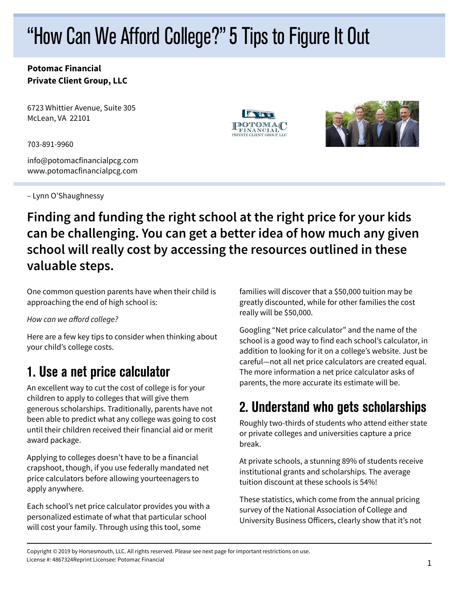# "How Can We Afford College?" 5 Tips to Figure It Out

#### **Potomac Financial Private Client Group, LLC**

6723 Whittier Avenue, Suite 305 McLean, VA 22101

703-891-9960

info@potomacfinancialpcg.com www.potomacfinancialpcg.com

– Lynn O'Shaughnessy





#### **Finding and funding the right school at the right price for your kids can be challenging. You can get a better idea of how much any given school will really cost by accessing the resources outlined in these valuable steps.**

One common question parents have when their child is approaching the end of high school is:

How can we afford college?

Here are a few key tips to consider when thinking about your child's college costs.

## 1. Use a net price calculator

An excellent way to cut the cost of college is for your children to apply to colleges that will give them generous scholarships. Traditionally, parents have not been able to predict what any college was going to cost until their children received their financial aid or merit award package.

Applying to colleges doesn't have to be a financial crapshoot, though, if you use federally mandated net price calculators before allowing yourteenagers to apply anywhere.

Each school's net price calculator provides you with a personalized estimate of what that particular school will cost your family. Through using this tool, some

families will discover that a \$50,000 tuition may be greatly discounted, while for other families the cost really will be \$50,000.

Googling "Net price calculator" and the name of the school is a good way to find each school's calculator, in addition to looking for it on a college's website. Just be careful—not all net price calculators are created equal. The more information a net price calculator asks of parents, the more accurate its estimate will be.

# 2. Understand who gets scholarships

Roughly two-thirds of students who attend either state or private colleges and universities capture a price break.

At private schools, a stunning 89% of students receive institutional grants and scholarships. The average tuition discount at these schools is 54%!

These statistics, which come from the annual pricing survey of the National Association of College and University Business Officers, clearly show that it's not

Copyright © 2019 by Horsesmouth, LLC. All rights reserved. Please see next page for important restrictions on use. License #: 4867324Reprint Licensee: Potomac Financial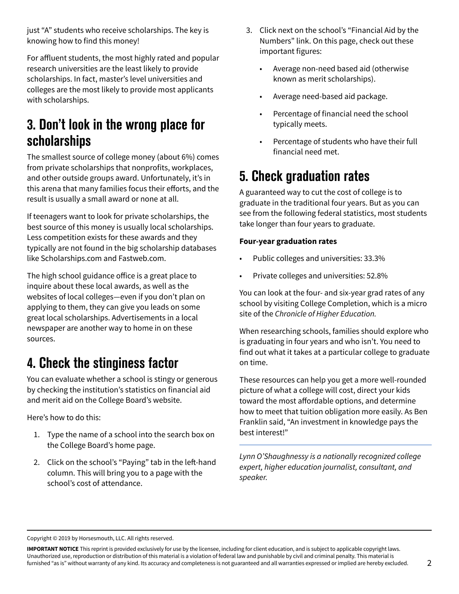just "A" students who receive scholarships. The key is knowing how to find this money!

For affluent students, the most highly rated and popular research universities are the least likely to provide scholarships. In fact, master's level universities and colleges are the most likely to provide most applicants with scholarships.

### 3. Don't look in the wrong place for scholarships

The smallest source of college money (about 6%) comes from private scholarships that nonprofits, workplaces, and other outside groups award. Unfortunately, it's in this arena that many families focus their efforts, and the result is usually a small award or none at all.

If teenagers want to look for private scholarships, the best source of this money is usually local scholarships. Less competition exists for these awards and they typically are not found in the big scholarship databases like Scholarships.com and Fastweb.com.

The high school guidance office is a great place to inquire about these local awards, as well as the websites of local colleges—even if you don't plan on applying to them, they can give you leads on some great local scholarships. Advertisements in a local newspaper are another way to home in on these sources.

### 4. Check the stinginess factor

You can evaluate whether a school is stingy or generous by checking the institution's statistics on financial aid and merit aid on the College Board's website.

Here's how to do this:

- 1. Type the name of a school into the search box on the College Board's home page.
- 2. Click on the school's "Paying" tab in the left-hand column. This will bring you to a page with the school's cost of attendance.
- 3. Click next on the school's "Financial Aid by the Numbers" link. On this page, check out these important figures:
	- Average non-need based aid (otherwise known as merit scholarships).
	- Average need-based aid package.
	- Percentage of financial need the school typically meets.
	- Percentage of students who have their full financial need met.

# 5. Check graduation rates

A guaranteed way to cut the cost of college is to graduate in the traditional four years. But as you can see from the following federal statistics, most students take longer than four years to graduate.

#### **Four-year graduation rates**

- Public colleges and universities: 33.3%
- Private colleges and universities: 52.8%

You can look at the four- and six-year grad rates of any school by visiting College Completion, which is a micro site of the Chronicle of Higher Education.

When researching schools, families should explore who is graduating in four years and who isn't. You need to find out what it takes at a particular college to graduate on time.

These resources can help you get a more well-rounded picture of what a college will cost, direct your kids toward the most affordable options, and determine how to meet that tuition obligation more easily. As Ben Franklin said, "An investment in knowledge pays the best interest!"

Lynn O'Shaughnessy is a nationally recognized college expert, higher education journalist, consultant, and speaker.

Copyright © 2019 by Horsesmouth, LLC. All rights reserved.

**IMPORTANT NOTICE** This reprint is provided exclusively for use by the licensee, including for client education, and is subject to applicable copyright laws. Unauthorized use, reproduction or distribution of this material is a violation of federal law and punishable by civil and criminal penalty. This material is furnished "as is" without warranty of any kind. Its accuracy and completeness is not guaranteed and all warranties expressed or implied are hereby excluded.